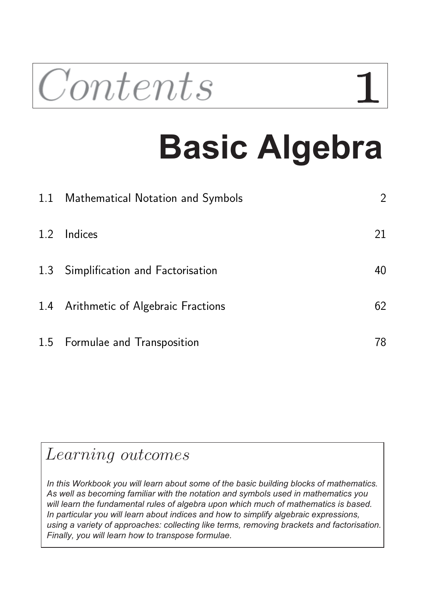

# **Basic Algebra**

|     | 1.1 Mathematical Notation and Symbols | $\overline{2}$ |
|-----|---------------------------------------|----------------|
| 1.2 | Indices                               | 21             |
|     | 1.3 Simplification and Factorisation  | 40             |
|     | 1.4 Arithmetic of Algebraic Fractions | 62             |
|     | 1.5 Formulae and Transposition        | 78             |

## Learning outcomes

*In this Workbook you will learn about some of the basic building blocks of mathematics. As well as becoming familiar with the notation and symbols used in mathematics you will learn the fundamental rules of algebra upon which much of mathematics is based. In particular you will learn about indices and how to simplify algebraic expressions, using a variety of approaches: collecting like terms, removing brackets and factorisation. Finally, you will learn how to transpose formulae.*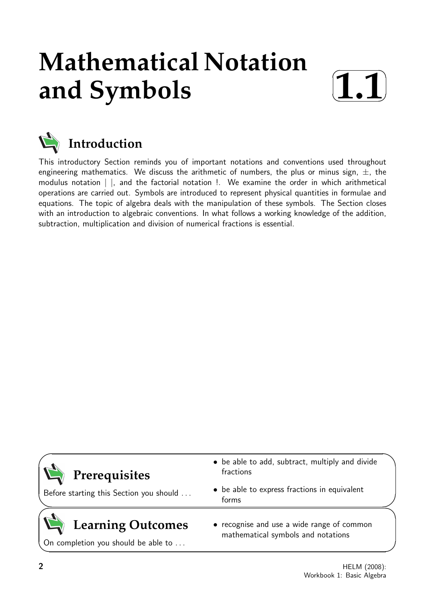## **Mathematical Notation and Symbols**





This introductory Section reminds you of important notations and conventions used throughout engineering mathematics. We discuss the arithmetic of numbers, the plus or minus sign,  $\pm$ , the modulus notation | |, and the factorial notation !. We examine the order in which arithmetical operations are carried out. Symbols are introduced to represent physical quantities in formulae and equations. The topic of algebra deals with the manipulation of these symbols. The Section closes with an introduction to algebraic conventions. In what follows a working knowledge of the addition, subtraction, multiplication and division of numerical fractions is essential.

| $\mathbf{Q}$ Prerequisites               | • be able to add, subtract, multiply and divide<br>fractions                     |  |
|------------------------------------------|----------------------------------------------------------------------------------|--|
| Before starting this Section you should  | • be able to express fractions in equivalent<br>forms                            |  |
| $\mathbf{Z}$<br><b>Learning Outcomes</b> | • recognise and use a wide range of common<br>mathematical symbols and notations |  |

On completion you should be able to ...

2 HELM (2008): Workbook 1: Basic Algebra

 $\overline{\phantom{0}}$ 

 $\overline{\phantom{0}}$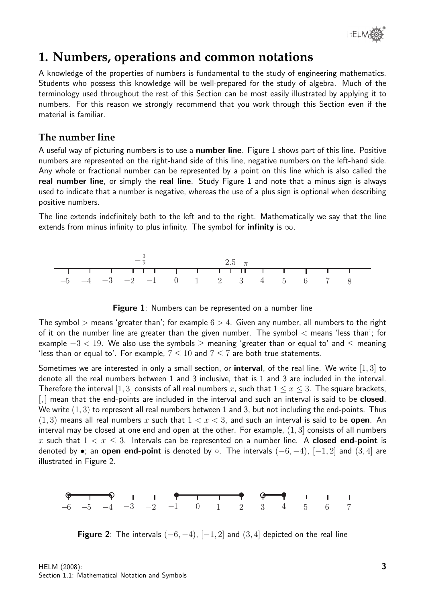

## **1. Numbers, operations and common notations**

A knowledge of the properties of numbers is fundamental to the study of engineering mathematics. Students who possess this knowledge will be well-prepared for the study of algebra. Much of the terminology used throughout the rest of this Section can be most easily illustrated by applying it to numbers. For this reason we strongly recommend that you work through this Section even if the material is familiar.

#### **The number line**

A useful way of picturing numbers is to use a **number line**. Figure 1 shows part of this line. Positive numbers are represented on the right-hand side of this line, negative numbers on the left-hand side. Any whole or fractional number can be represented by a point on this line which is also called the real number line, or simply the real line. Study Figure 1 and note that a minus sign is always used to indicate that a number is negative, whereas the use of a plus sign is optional when describing positive numbers.

The line extends indefinitely both to the left and to the right. Mathematically we say that the line extends from minus infinity to plus infinity. The symbol for **infinity** is  $\infty$ .





The symbol  $>$  means 'greater than'; for example  $6 > 4$ . Given any number, all numbers to the right of it on the number line are greater than the given number. The symbol  $\lt$  means 'less than'; for example  $-3 < 19$ . We also use the symbols > meaning 'greater than or equal to' and  $\leq$  meaning 'less than or equal to'. For example,  $7 \leq 10$  and  $7 \leq 7$  are both true statements.

Sometimes we are interested in only a small section, or **interval**, of the real line. We write  $[1,3]$  to denote all the real numbers between 1 and 3 inclusive, that is 1 and 3 are included in the interval. Therefore the interval [1, 3] consists of all real numbers x, such that  $1 \leq x \leq 3$ . The square brackets,  $\left[\right]$  mean that the end-points are included in the interval and such an interval is said to be **closed**. We write  $(1, 3)$  to represent all real numbers between 1 and 3, but not including the end-points. Thus  $(1, 3)$  means all real numbers x such that  $1 < x < 3$ , and such an interval is said to be **open**. An interval may be closed at one end and open at the other. For example,  $(1, 3]$  consists of all numbers x such that  $1 < x < 3$ . Intervals can be represented on a number line. A **closed end-point** is denoted by •; an open end-point is denoted by  $\circ$ . The intervals  $(-6, -4)$ ,  $[-1, 2]$  and  $(3, 4]$  are illustrated in Figure 2.



**Figure 2:** The intervals  $(-6, -4)$ ,  $[-1, 2]$  and  $(3, 4]$  depicted on the real line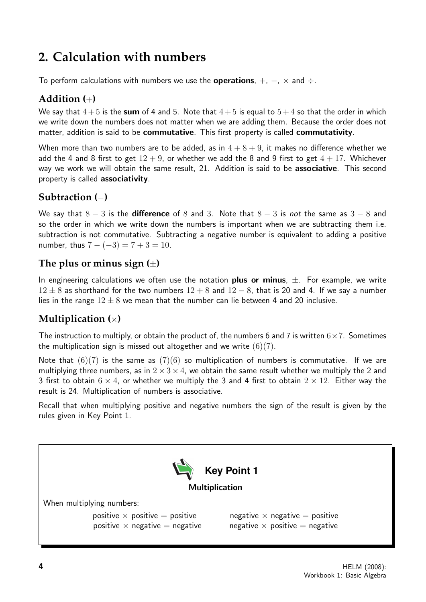## **2. Calculation with numbers**

To perform calculations with numbers we use the **operations**,  $+$ ,  $-$ ,  $\times$  and  $\div$ .

#### **Addition (**+**)**

We say that  $4+5$  is the sum of 4 and 5. Note that  $4+5$  is equal to  $5+4$  so that the order in which we write down the numbers does not matter when we are adding them. Because the order does not matter, addition is said to be **commutative**. This first property is called **commutativity**.

When more than two numbers are to be added, as in  $4 + 8 + 9$ , it makes no difference whether we add the 4 and 8 first to get  $12 + 9$ , or whether we add the 8 and 9 first to get  $4 + 17$ . Whichever way we work we will obtain the same result, 21. Addition is said to be associative. This second property is called associativity.

#### **Subtraction (**−**)**

We say that  $8 - 3$  is the **difference** of 8 and 3. Note that  $8 - 3$  is not the same as  $3 - 8$  and so the order in which we write down the numbers is important when we are subtracting them i.e. subtraction is not commutative. Subtracting a negative number is equivalent to adding a positive number, thus  $7 - (-3) = 7 + 3 = 10$ .

#### **The plus or minus sign (**±**)**

In engineering calculations we often use the notation **plus or minus**,  $\pm$ . For example, we write  $12 \pm 8$  as shorthand for the two numbers  $12 + 8$  and  $12 - 8$ , that is 20 and 4. If we say a number lies in the range  $12 \pm 8$  we mean that the number can lie between 4 and 20 inclusive.

#### **Multiplication (**×**)**

The instruction to multiply, or obtain the product of, the numbers 6 and 7 is written  $6 \times 7$ . Sometimes the multiplication sign is missed out altogether and we write  $(6)(7)$ .

Note that  $(6)(7)$  is the same as  $(7)(6)$  so multiplication of numbers is commutative. If we are multiplying three numbers, as in  $2 \times 3 \times 4$ , we obtain the same result whether we multiply the 2 and 3 first to obtain  $6 \times 4$ , or whether we multiply the 3 and 4 first to obtain  $2 \times 12$ . Either way the result is 24. Multiplication of numbers is associative.

Recall that when multiplying positive and negative numbers the sign of the result is given by the rules given in Key Point 1.

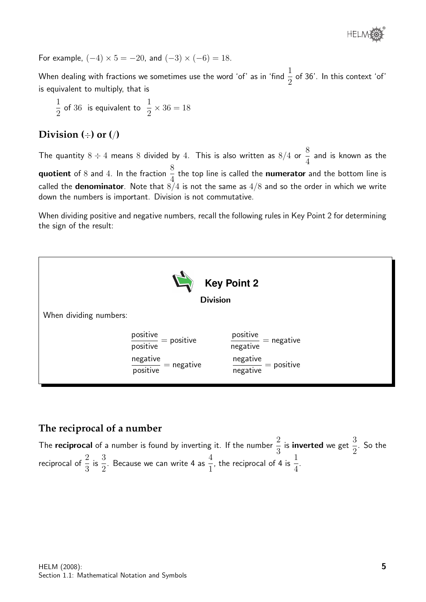

For example,  $(-4) \times 5 = -20$ , and  $(-3) \times (-6) = 18$ .

When dealing with fractions we sometimes use the word 'of' as in 'find  $\frac{1}{2}$ 2 of 36'. In this context 'of' is equivalent to multiply, that is

$$
\frac{1}{2} \text{ of } 36 \text{ is equivalent to } \frac{1}{2} \times 36 = 18
$$

#### **Division (**÷**) or (**/**)**

The quantity  $8 \div 4$  means  $8$  divided by  $4$ . This is also written as  $8/4$  or  $\frac{8}{4}$ 4 and is known as the **quotient** of 8 and 4. In the fraction  $\frac{8}{4}$ 4 the top line is called the numerator and the bottom line is called the **denominator**. Note that  $8/4$  is not the same as  $4/8$  and so the order in which we write down the numbers is important. Division is not commutative.

When dividing positive and negative numbers, recall the following rules in Key Point 2 for determining the sign of the result:



#### **The reciprocal of a number**

The reciprocal of a number is found by inverting it. If the number  $\frac{2}{3}$ 3 is inverted we get 3 2 . So the reciprocal of  $\frac{2}{3}$ 3 is  $\frac{3}{5}$ 2 . Because we can write 4 as  $\frac{4}{1}$ 1 , the reciprocal of 4 is  $\frac{1}{4}$ 4 .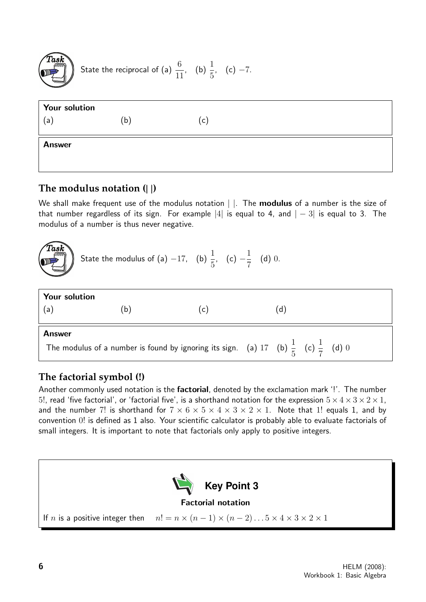

State the reciprocal of (a) 
$$
\frac{6}{11}
$$
, (b)  $\frac{1}{5}$ , (c) -7.

| <b>Your solution</b> |              |              |  |
|----------------------|--------------|--------------|--|
| (a                   | $\mathsf{b}$ | $\mathsf{C}$ |  |
| <b>Answer</b>        |              |              |  |
|                      |              |              |  |

#### **The modulus notation (**| |**)**

We shall make frequent use of the modulus notation | |. The **modulus** of a number is the size of that number regardless of its sign. For example |4| is equal to 4, and  $|-3|$  is equal to 3. The modulus of a number is thus never negative.



State the modulus of (a) -17, (b) 
$$
\frac{1}{5}
$$
, (c)  $-\frac{1}{7}$  (d) 0.

| Your solution |     |                                                                                                         |     |  |  |  |  |  |  |
|---------------|-----|---------------------------------------------------------------------------------------------------------|-----|--|--|--|--|--|--|
| (a)           | (b) | (C)                                                                                                     | (d) |  |  |  |  |  |  |
| <b>Answer</b> |     |                                                                                                         |     |  |  |  |  |  |  |
|               |     | The modulus of a number is found by ignoring its sign. (a) 17 (b) $\frac{1}{5}$ (c) $\frac{1}{7}$ (d) 0 |     |  |  |  |  |  |  |

#### **The factorial symbol (!)**

Another commonly used notation is the factorial, denoted by the exclamation mark '!'. The number 5!, read 'five factorial', or 'factorial five', is a shorthand notation for the expression  $5 \times 4 \times 3 \times 2 \times 1$ , and the number 7! is shorthand for  $7 \times 6 \times 5 \times 4 \times 3 \times 2 \times 1$ . Note that 1! equals 1, and by convention 0! is defined as 1 also. Your scientific calculator is probably able to evaluate factorials of small integers. It is important to note that factorials only apply to positive integers.

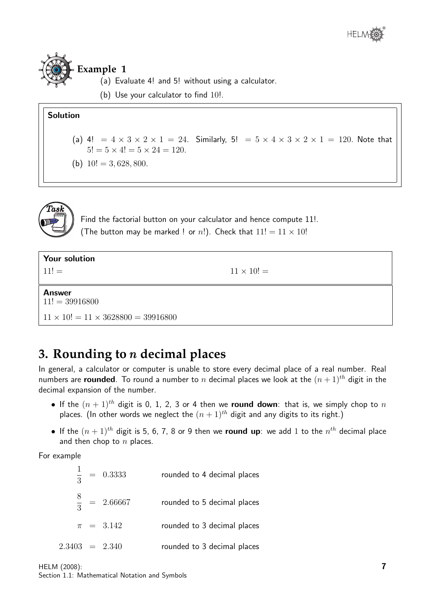

**Example 1**

- (a) Evaluate 4! and 5! without using a calculator.
- (b) Use your calculator to find 10!.

#### Solution

- (a) 4! =  $4 \times 3 \times 2 \times 1 = 24$ . Similarly, 5! =  $5 \times 4 \times 3 \times 2 \times 1 = 120$ . Note that  $5! = 5 \times 4! = 5 \times 24 = 120.$
- (b)  $10! = 3,628,800$ .



Find the factorial button on your calculator and hence compute 11!. (The button may be marked ! or n!). Check that  $11! = 11 \times 10!$ 

| Your solution                                  |                   |
|------------------------------------------------|-------------------|
| $11! =$                                        | $11 \times 10! =$ |
| <b>Answer</b><br>$11! = 39916800$              |                   |
| $11 \times 10! = 11 \times 3628800 = 39916800$ |                   |

## **3. Rounding to** n **decimal places**

In general, a calculator or computer is unable to store every decimal place of a real number. Real numbers are **rounded**. To round a number to n decimal places we look at the  $(n+1)^{th}$  digit in the decimal expansion of the number.

- If the  $(n + 1)^{th}$  digit is 0, 1, 2, 3 or 4 then we round down: that is, we simply chop to n places. (In other words we neglect the  $(n + 1)^{th}$  digit and any digits to its right.)
- $\bullet$  If the  $(n+1)^{th}$  digit is 5, 6, 7, 8 or 9 then we round up: we add 1 to the  $n^{th}$  decimal place and then chop to  $n$  places.

For example

1 3  $= 0.3333$  rounded to 4 decimal places 8 3  $= 2.66667$  rounded to 5 decimal places  $\pi$  = 3.142 rounded to 3 decimal places  $2.3403 = 2.340$  rounded to 3 decimal places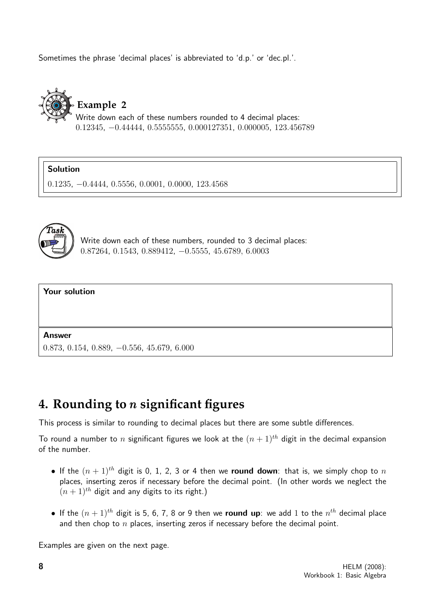Sometimes the phrase 'decimal places' is abbreviated to 'd.p.' or 'dec.pl.'.



0.12345, −0.44444, 0.5555555, 0.000127351, 0.000005, 123.456789

Solution

0.1235, −0.4444, 0.5556, 0.0001, 0.0000, 123.4568



Write down each of these numbers, rounded to 3 decimal places: 0.87264, 0.1543, 0.889412, −0.5555, 45.6789, 6.0003



Answer

0.873, 0.154, 0.889, −0.556, 45.679, 6.000

### **4. Rounding to** n **significant figures**

This process is similar to rounding to decimal places but there are some subtle differences.

To round a number to n significant figures we look at the  $(n + 1)^{th}$  digit in the decimal expansion of the number.

- If the  $(n + 1)^{th}$  digit is 0, 1, 2, 3 or 4 then we round down: that is, we simply chop to n places, inserting zeros if necessary before the decimal point. (In other words we neglect the  $(n + 1)^{th}$  digit and any digits to its right.)
- $\bullet$  If the  $(n+1)^{th}$  digit is 5, 6, 7, 8 or 9 then we round up: we add 1 to the  $n^{th}$  decimal place and then chop to  $n$  places, inserting zeros if necessary before the decimal point.

Examples are given on the next page.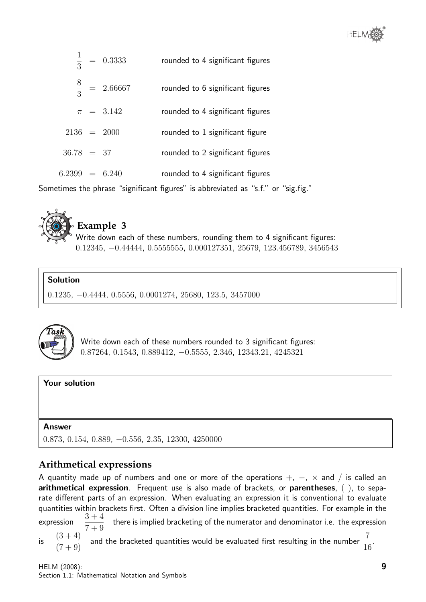

|                  | $\frac{1}{3}$ = 0.3333  | rounded to 4 significant figures |
|------------------|-------------------------|----------------------------------|
|                  | $\frac{8}{3}$ = 2.66667 | rounded to 6 significant figures |
|                  | $\pi = 3.142$           | rounded to 4 significant figures |
| $2136 = 2000$    |                         | rounded to 1 significant figure  |
| $36.78 = 37$     |                         | rounded to 2 significant figures |
| $6.2399 = 6.240$ |                         | rounded to 4 significant figures |
|                  |                         |                                  |

Sometimes the phrase "significant figures" is abbreviated as "s.f." or "sig.fig."



#### **Example 3**

Write down each of these numbers, rounding them to 4 significant figures: 0.12345, −0.44444, 0.5555555, 0.000127351, 25679, 123.456789, 3456543

#### Solution

0.1235, −0.4444, 0.5556, 0.0001274, 25680, 123.5, 3457000



Write down each of these numbers rounded to 3 significant figures: 0.87264, 0.1543, 0.889412, −0.5555, 2.346, 12343.21, 4245321

#### Your solution

#### Answer

0.873, 0.154, 0.889, −0.556, 2.35, 12300, 4250000

#### **Arithmetical expressions**

A quantity made up of numbers and one or more of the operations  $+, -$ ,  $\times$  and  $/$  is called an arithmetical expression. Frequent use is also made of brackets, or parentheses, (), to separate different parts of an expression. When evaluating an expression it is conventional to evaluate quantities within brackets first. Often a division line implies bracketed quantities. For example in the expression  $\frac{1}{7+9}$ there is implied bracketing of the numerator and denominator i.e. the expression is  $\frac{(3+4)}{(7+9)}$  $\frac{(3+4)}{(7+9)}$  and the bracketed quantities would be evaluated first resulting in the number  $\frac{7}{16}$ .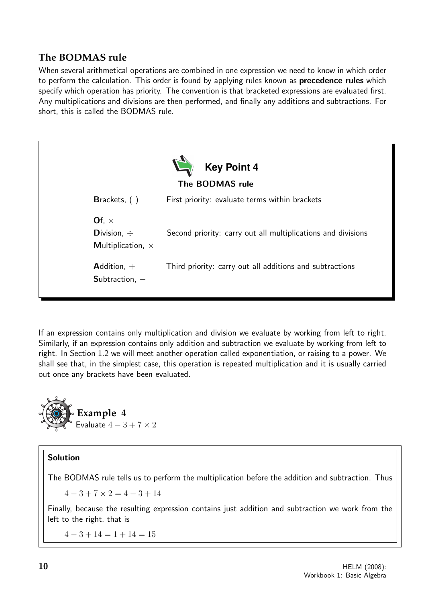#### **The BODMAS rule**

When several arithmetical operations are combined in one expression we need to know in which order to perform the calculation. This order is found by applying rules known as **precedence rules** which specify which operation has priority. The convention is that bracketed expressions are evaluated first. Any multiplications and divisions are then performed, and finally any additions and subtractions. For short, this is called the BODMAS rule.



If an expression contains only multiplication and division we evaluate by working from left to right. Similarly, if an expression contains only addition and subtraction we evaluate by working from left to right. In Section 1.2 we will meet another operation called exponentiation, or raising to a power. We shall see that, in the simplest case, this operation is repeated multiplication and it is usually carried out once any brackets have been evaluated.



#### Solution

The BODMAS rule tells us to perform the multiplication before the addition and subtraction. Thus

 $4 - 3 + 7 \times 2 = 4 - 3 + 14$ 

Finally, because the resulting expression contains just addition and subtraction we work from the left to the right, that is

 $4-3+14=1+14=15$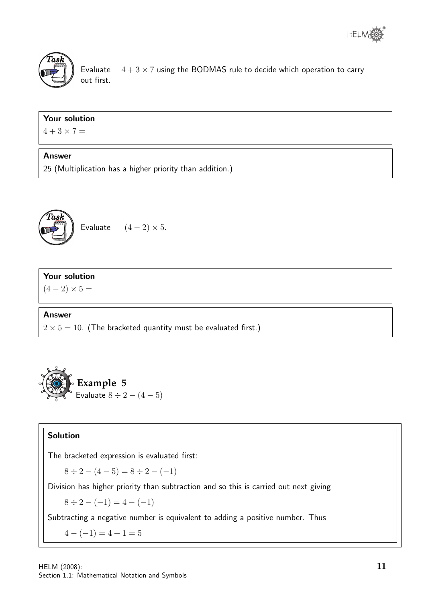



Evaluate  $4 + 3 \times 7$  using the BODMAS rule to decide which operation to carry out first.

#### Your solution

 $4 + 3 \times 7 =$ 

#### Answer

25 (Multiplication has a higher priority than addition.)



Evaluate  $(4-2) \times 5$ .

#### Your solution

 $(4 - 2) \times 5 =$ 

#### Answer

 $2 \times 5 = 10$ . (The bracketed quantity must be evaluated first.)



#### Solution

The bracketed expression is evaluated first:

 $8 \div 2 - (4 - 5) = 8 \div 2 - (-1)$ 

Division has higher priority than subtraction and so this is carried out next giving

 $8 \div 2 - (-1) = 4 - (-1)$ 

Subtracting a negative number is equivalent to adding a positive number. Thus

 $4-(-1)=4+1=5$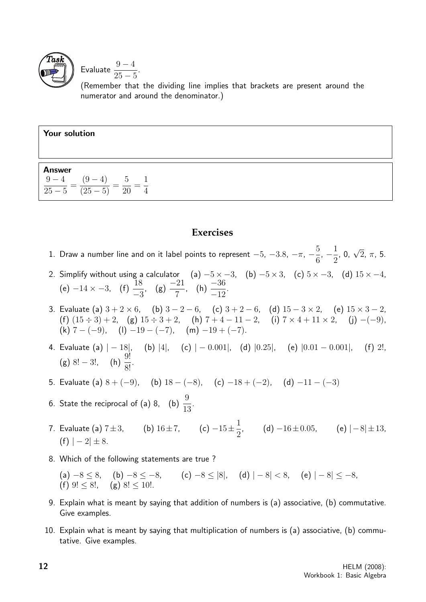

Evaluate 
$$
\frac{9-4}{25-5}
$$
.

(Remember that the dividing line implies that brackets are present around the numerator and around the denominator.)

| Your solution                                                                                              |  |  |  |  |  |
|------------------------------------------------------------------------------------------------------------|--|--|--|--|--|
| <b>Answer</b><br>$rac{9-4}{25-5} = \frac{(9-4)}{(25-5)}$<br>$\frac{1}{2} = \frac{1}{2}$<br>$20^{\degree}4$ |  |  |  |  |  |

#### **Exercises**

|  | 1. Draw a number line and on it label points to represent $-5$ , $-3.8$ , $-\pi$ , $-\frac{5}{6}$ , $-\frac{1}{2}$ , 0, $\sqrt{2}$ , $\pi$ , 5. |  |  |  |  |  |  |  |  |  |
|--|-------------------------------------------------------------------------------------------------------------------------------------------------|--|--|--|--|--|--|--|--|--|
|--|-------------------------------------------------------------------------------------------------------------------------------------------------|--|--|--|--|--|--|--|--|--|

- 2. Simplify without using a calculator  $\quad$  (a)  $-5 \times -3$ ,  $\quad$  (b)  $-5 \times 3$ ,  $\quad$  (c)  $5 \times -3$ ,  $\quad$  (d)  $15 \times -4$ , (e)  $-14 \times -3$ , (f)  $\frac{18}{6}$ −3 , (g)  $\frac{-21}{7}$ 7 , (h)  $\frac{-36}{10}$ −12 .
- 3. Evaluate (a)  $3 + 2 \times 6$ , (b)  $3 2 6$ , (c)  $3 + 2 6$ , (d)  $15 3 \times 2$ , (e)  $15 \times 3 2$ , (f)  $(15 \div 3) + 2$ , (g)  $15 \div 3 + 2$ , (h)  $7 + 4 - 11 - 2$ , (i)  $7 \times 4 + 11 \times 2$ , (j)  $-(-9)$ , (k)  $7 - (-9)$ , (l)  $-19 - (-7)$ , (m)  $-19 + (-7)$ .
- 4. Evaluate (a)  $|-18|$ , (b)  $|4|$ , (c)  $|-0.001|$ , (d)  $|0.25|$ , (e)  $|0.01 0.001|$ , (f) 2!, (g) 8! – 3!, (h)  $\frac{9!}{9!}$  $\frac{6!}{8!}$ .
- 5. Evaluate (a)  $8 + (-9)$ , (b)  $18 (-8)$ , (c)  $-18 + (-2)$ , (d)  $-11 (-3)$
- 6. State the reciprocal of (a) 8, (b)  $\frac{9}{16}$ 13 .
- 7. Evaluate (a)  $7 \pm 3$ , (b)  $16 \pm 7$ , (c)  $-15 \pm \frac{1}{2}$ 2 , (d)  $-16 \pm 0.05$ , (e)  $|-8| \pm 13$ ,  $(f)$  |  $-2$ |  $\pm$  8.
- 8. Which of the following statements are true ?
	- (a)  $-8 \le 8$ , (b)  $-8 \le -8$ , (c)  $-8 \le |8|$ , (d)  $|-8| < 8$ , (e)  $|-8| \le -8$ , (f)  $9! \leq 8!$ , (g)  $8! \leq 10!$ .
- 9. Explain what is meant by saying that addition of numbers is (a) associative, (b) commutative. Give examples.
- 10. Explain what is meant by saying that multiplication of numbers is (a) associative, (b) commutative. Give examples.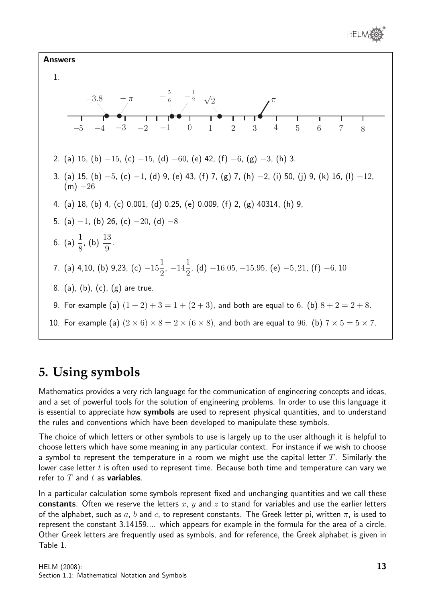



## **5. Using symbols**

Mathematics provides a very rich language for the communication of engineering concepts and ideas, and a set of powerful tools for the solution of engineering problems. In order to use this language it is essential to appreciate how symbols are used to represent physical quantities, and to understand the rules and conventions which have been developed to manipulate these symbols.

The choice of which letters or other symbols to use is largely up to the user although it is helpful to choose letters which have some meaning in any particular context. For instance if we wish to choose a symbol to represent the temperature in a room we might use the capital letter  $T$ . Similarly the lower case letter  $t$  is often used to represent time. Because both time and temperature can vary we refer to  $T$  and  $t$  as **variables**.

In a particular calculation some symbols represent fixed and unchanging quantities and we call these constants. Often we reserve the letters x, y and z to stand for variables and use the earlier letters of the alphabet, such as a, b and c, to represent constants. The Greek letter pi, written  $\pi$ , is used to represent the constant 3.14159.... which appears for example in the formula for the area of a circle. Other Greek letters are frequently used as symbols, and for reference, the Greek alphabet is given in Table 1.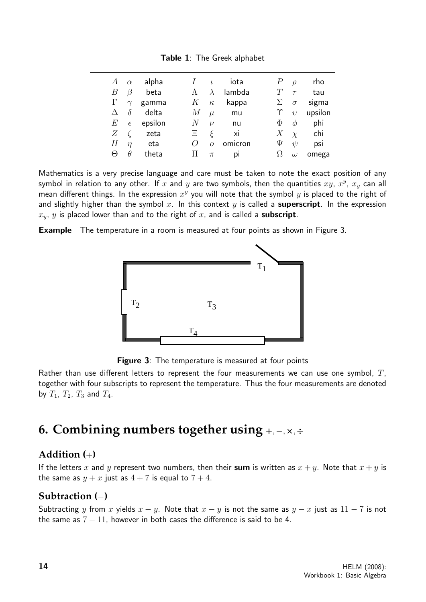| А          | $\alpha$   | alpha   |          | $\iota$        | iota    |   | $\mathcal{D}$ | rho     |
|------------|------------|---------|----------|----------------|---------|---|---------------|---------|
| В          | 3          | beta    |          | $\lambda$      | lambda  |   | $\tau$        | tau     |
| Γ          | $\gamma$   | gamma   | Κ        | $\kappa$       | kappa   |   | $\sigma$      | sigma   |
|            | $\delta$   | delta   | М        | $\mu$          | mu      |   | $\upsilon$    | upsilon |
| E          | $\epsilon$ | epsilon | N        | $\nu$          | nu      | Φ | Ø             | phi     |
| Ζ          |            | zeta    | Ξ        | È              | xi      | Х | $\chi$        | chi     |
| Η          | $\eta$     | eta     | $\theta$ | $\overline{O}$ | omicron | Ψ | ψ             | psi     |
| $_{\odot}$ | Ĥ          | theta   | Н        | $\pi$          | pı      |   | $\omega$      | omega   |

Table 1: The Greek alphabet

Mathematics is a very precise language and care must be taken to note the exact position of any symbol in relation to any other. If  $x$  and  $y$  are two symbols, then the quantities  $xy$ ,  $x^y$ ,  $x_y$  can all mean different things. In the expression  $x^y$  you will note that the symbol  $y$  is placed to the right of and slightly higher than the symbol x. In this context y is called a superscript. In the expression  $x_y$ , y is placed lower than and to the right of x, and is called a **subscript**.

**Example** The temperature in a room is measured at four points as shown in Figure 3.



**Figure 3:** The temperature is measured at four points

Rather than use different letters to represent the four measurements we can use one symbol,  $T$ , together with four subscripts to represent the temperature. Thus the four measurements are denoted by  $T_1$ ,  $T_2$ ,  $T_3$  and  $T_4$ .

## **6. Combining numbers together using** <sup>+</sup>,−,×,<sup>÷</sup>

#### **Addition (**+**)**

If the letters x and y represent two numbers, then their sum is written as  $x + y$ . Note that  $x + y$  is the same as  $y + x$  just as  $4 + 7$  is equal to  $7 + 4$ .

#### **Subtraction (**−**)**

Subtracting y from x yields  $x - y$ . Note that  $x - y$  is not the same as  $y - x$  just as  $11 - 7$  is not the same as  $7 - 11$ , however in both cases the difference is said to be 4.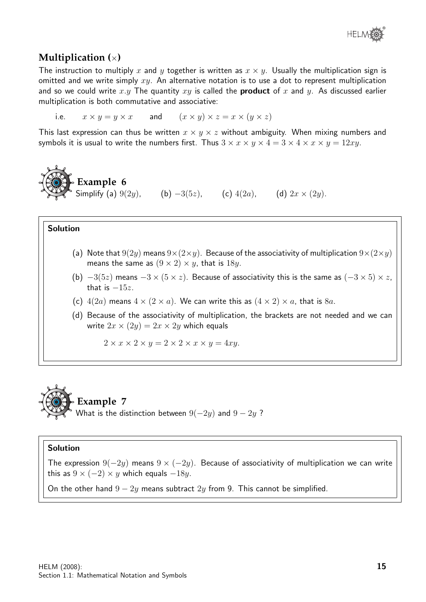#### **Multiplication (**×**)**

The instruction to multiply x and y together is written as  $x \times y$ . Usually the multiplication sign is omitted and we write simply  $xy$ . An alternative notation is to use a dot to represent multiplication and so we could write x.y The quantity  $xy$  is called the **product** of x and y. As discussed earlier multiplication is both commutative and associative:

i.e.  $x \times y = y \times x$  and  $(x \times y) \times z = x \times (y \times z)$ 

This last expression can thus be written  $x \times y \times z$  without ambiguity. When mixing numbers and symbols it is usual to write the numbers first. Thus  $3 \times x \times y \times 4 = 3 \times 4 \times x \times y = 12xy$ .

**Example 6**

Simplify (a)  $9(2y)$ , (b)  $-3(5z)$ , (c)  $4(2a)$ , (d)  $2x \times (2y)$ .

#### Solution

- (a) Note that  $9(2y)$  means  $9\times(2\times y)$ . Because of the associativity of multiplication  $9\times(2\times y)$ means the same as  $(9 \times 2) \times y$ , that is 18y.
- (b)  $-3(5z)$  means  $-3 \times (5 \times z)$ . Because of associativity this is the same as  $(-3 \times 5) \times z$ , that is  $-15z$ .
- (c)  $4(2a)$  means  $4 \times (2 \times a)$ . We can write this as  $(4 \times 2) \times a$ , that is  $8a$ .
- (d) Because of the associativity of multiplication, the brackets are not needed and we can write  $2x \times (2y) = 2x \times 2y$  which equals

 $2 \times x \times 2 \times y = 2 \times 2 \times x \times y = 4xy.$ 



#### Solution

The expression  $9(-2y)$  means  $9 \times (-2y)$ . Because of associativity of multiplication we can write this as  $9 \times (-2) \times y$  which equals  $-18y$ .

On the other hand  $9 - 2y$  means subtract  $2y$  from 9. This cannot be simplified.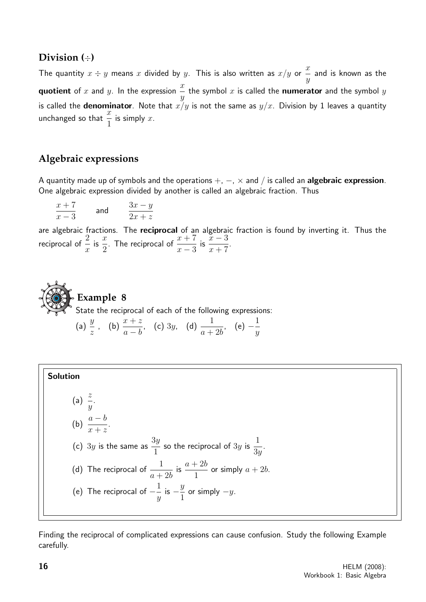#### **Division (**÷**)**

The quantity  $x \div y$  means  $x$  divided by  $y$ . This is also written as  $x/y$  or  $\frac{x}{y}$  $\hat{y}$ and is known as the **quotient** of  $x$  and  $y$ . In the expression  $\frac{x}{x}$  $\hat{y}$ the symbol  $x$  is called the  ${\bf numerator}$  and the symbol  $y$ is called the **denominator**. Note that  $x/y$  is not the same as  $y/x$ . Division by 1 leaves a quantity unchanged so that  $\frac{x}{1}$ 1 is simply  $x$ .

#### **Algebraic expressions**

A quantity made up of symbols and the operations  $+, -$ ,  $\times$  and  $/$  is called an **algebraic expression**. One algebraic expression divided by another is called an algebraic fraction. Thus

$$
\frac{x+7}{x-3} \qquad \text{and} \qquad \frac{3x-y}{2x+z}
$$

are algebraic fractions. The reciprocal of an algebraic fraction is found by inverting it. Thus the reciprocal of  $\frac{2}{3}$  $\overline{x}$ is  $\frac{x}{2}$ 2 . The reciprocal of  $\frac{x+7}{2}$  $x - 3$ is  $\frac{x-3}{7}$  $x + 7$ .



(a) 
$$
\frac{y}{z}
$$
, (b)  $\frac{x+z}{a-b}$ , (c) 3y, (d)  $\frac{1}{a+2b}$ , (e)  $-\frac{1}{y}$ 

#### Solution

(a)  $\frac{z}{z}$  $\hat{y}$ . (b)  $\frac{a-b}{a-b}$  $x + z$ . (c)  $3y$  is the same as  $\frac{3y}{4}$ 1 so the reciprocal of  $3y$  is  $\frac{1}{2}$  $3y$ . (d) The reciprocal of  $\frac{1}{1}$  $a+2b$ is  $\frac{a+2b}{1}$ 1 or simply  $a + 2b$ . (e) The reciprocal of  $-\frac{1}{2}$  $\hat{y}$ is  $-\frac{y}{4}$ 1 or simply  $-y$ .

Finding the reciprocal of complicated expressions can cause confusion. Study the following Example carefully.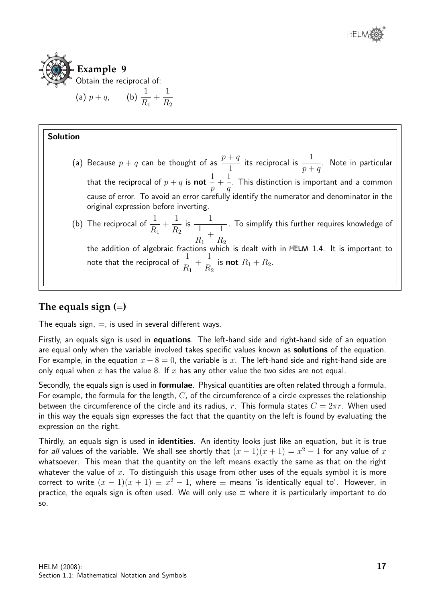

#### Solution (a) Because  $p + q$  can be thought of as  $\frac{p+q}{1-q}$ 1 its reciprocal is  $\frac{1}{1}$  $p + q$ . Note in particular that the reciprocal of  $p+q$  is  $\bold{not}$ 1 p  $+$ 1  $\overline{q}$ . This distinction is important and a common cause of error. To avoid an error carefully identify the numerator and denominator in the original expression before inverting. (b) The reciprocal of  $\frac{1}{10}$  $R_1$  $+$ 1  $R<sub>2</sub>$ is  $\frac{1}{1}$  $R_1$  $+$ 1  $R_{2}$ . To simplify this further requires knowledge of the addition of algebraic fractions which is dealt with in HELM 1.4. It is important to note that the reciprocal of  $\frac{1}{2}$  $R_1$  $+$ 1  $R<sub>2</sub>$ is not  $R_1 + R_2$ .

#### **The equals sign (**=**)**

The equals sign,  $=$ , is used in several different ways.

Firstly, an equals sign is used in **equations**. The left-hand side and right-hand side of an equation are equal only when the variable involved takes specific values known as **solutions** of the equation. For example, in the equation  $x - 8 = 0$ , the variable is x. The left-hand side and right-hand side are only equal when x has the value 8. If x has any other value the two sides are not equal.

Secondly, the equals sign is used in **formulae**. Physical quantities are often related through a formula. For example, the formula for the length,  $C$ , of the circumference of a circle expresses the relationship between the circumference of the circle and its radius, r. This formula states  $C = 2\pi r$ . When used in this way the equals sign expresses the fact that the quantity on the left is found by evaluating the expression on the right.

Thirdly, an equals sign is used in *identities*. An identity looks just like an equation, but it is true for all values of the variable. We shall see shortly that  $(x - 1)(x + 1) = x^2 - 1$  for any value of  $x$ whatsoever. This mean that the quantity on the left means exactly the same as that on the right whatever the value of x. To distinguish this usage from other uses of the equals symbol it is more correct to write  $(x - 1)(x + 1) \equiv x^2 - 1$ , where  $\equiv$  means 'is identically equal to'. However, in practice, the equals sign is often used. We will only use  $\equiv$  where it is particularly important to do so.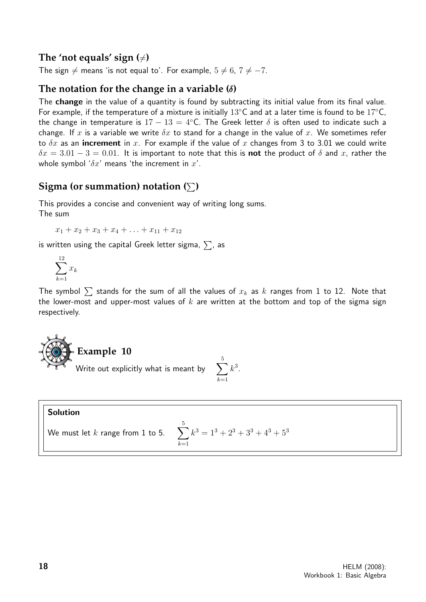#### The 'not equals' sign  $(\neq)$

The sign  $\neq$  means 'is not equal to'. For example,  $5 \neq 6$ ,  $7 \neq -7$ .

#### **The notation for the change in a variable (**δ**)**

The change in the value of a quantity is found by subtracting its initial value from its final value. For example, if the temperature of a mixture is initially 13 $°C$  and at a later time is found to be 17 $°C$ , the change in temperature is  $17 - 13 = 4$ °C. The Greek letter  $\delta$  is often used to indicate such a change. If x is a variable we write  $\delta x$  to stand for a change in the value of x. We sometimes refer to  $\delta x$  as an **increment** in x. For example if the value of x changes from 3 to 3.01 we could write  $\delta x = 3.01 - 3 = 0.01$ . It is important to note that this is **not** the product of  $\delta$  and x, rather the whole symbol ' $\delta x$ ' means 'the increment in  $x'$ .

#### **Sigma (or summation) notation**  $(\sum)$

This provides a concise and convenient way of writing long sums. The sum

 $x_1 + x_2 + x_3 + x_4 + \ldots + x_{11} + x_{12}$ 

is written using the capital Greek letter sigma,  $\sum$ , as

$$
\sum_{k=1}^{12} x_k
$$

The symbol  $\sum$  stands for the sum of all the values of  $x_k$  as  $k$  ranges from 1 to 12. Note that the lower-most and upper-most values of  $k$  are written at the bottom and top of the sigma sign respectively.



#### Solution We must let  $k$  range from 1 to 5. 5  $k=1$  $k^3 = 1^3 + 2^3 + 3^3 + 4^3 + 5^3$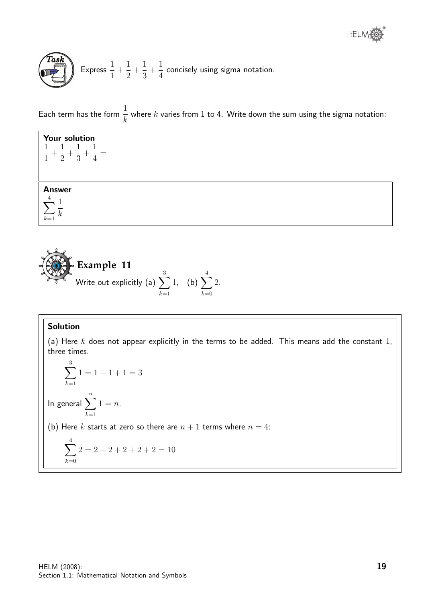Express 
$$
\frac{1}{1} + \frac{1}{2} + \frac{1}{3} + \frac{1}{4}
$$
 concisely using sigma notation.

Each term has the form  $\frac{1}{1}$ k where  $k$  varies from 1 to 4. Write down the sum using the sigma notation:



**Example 11**  
Write out explicitly (a) 
$$
\sum_{k=1}^{3} 1
$$
, (b)  $\sum_{k=0}^{4} 2$ .

#### Solution

(a) Here  $k$  does not appear explicitly in the terms to be added. This means add the constant 1, three times.

$$
\sum_{k=1}^{3} 1 = 1 + 1 + 1 = 3
$$
  
In general 
$$
\sum_{k=1}^{n} 1 = n.
$$
  
(b) Here *k* starts at zero so there are *n* + 1 terms where *n* = 4:  

$$
\sum_{k=0}^{4} 2 = 2 + 2 + 2 + 2 + 2 = 10
$$